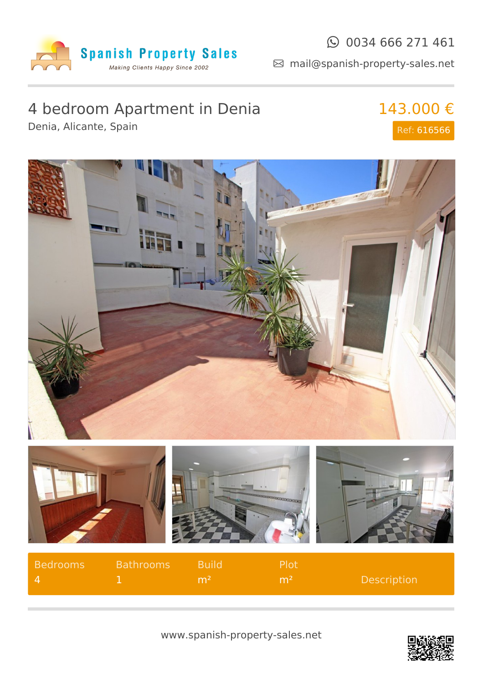

mail@spanish-property-sales.net

## 4 bedroom Apartment in Denia

Denia, Alicante, Spain

143.000 € Ref: 616566



| Bedrooms | Bathrooms | <b>Build</b>   | Plot         |                    |
|----------|-----------|----------------|--------------|--------------------|
|          |           | m <sup>2</sup> | $\sqrt{m^2}$ | <b>Description</b> |

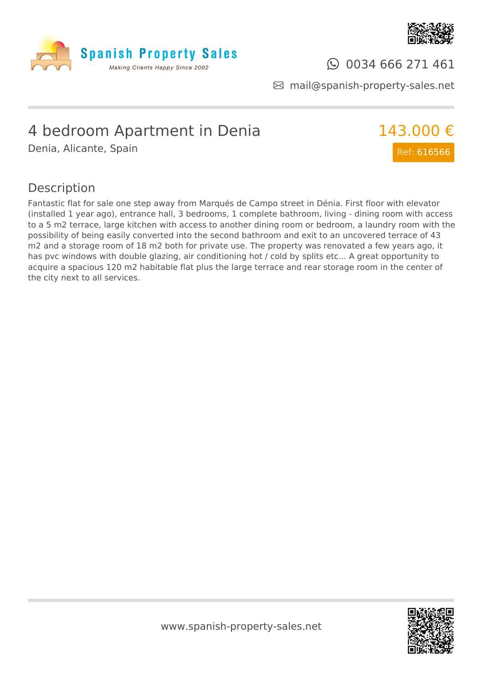



### $\odot$  0034 666 271 461

mail@spanish-property-sales.net

# 4 bedroom Apartment in Denia

Denia, Alicante, Spain



#### Description

Fantastic flat for sale one step away from Marqués de Campo street in Dénia. First floor with elevator (installed 1 year ago), entrance hall, 3 bedrooms, 1 complete bathroom, living - dining room with access to a 5 m2 terrace, large kitchen with access to another dining room or bedroom, a laundry room with the possibility of being easily converted into the second bathroom and exit to an uncovered terrace of 43 m2 and a storage room of 18 m2 both for private use. The property was renovated a few years ago, it has pvc windows with double glazing, air conditioning hot / cold by splits etc... A great opportunity to acquire a spacious 120 m2 habitable flat plus the large terrace and rear storage room in the center of the city next to all services.